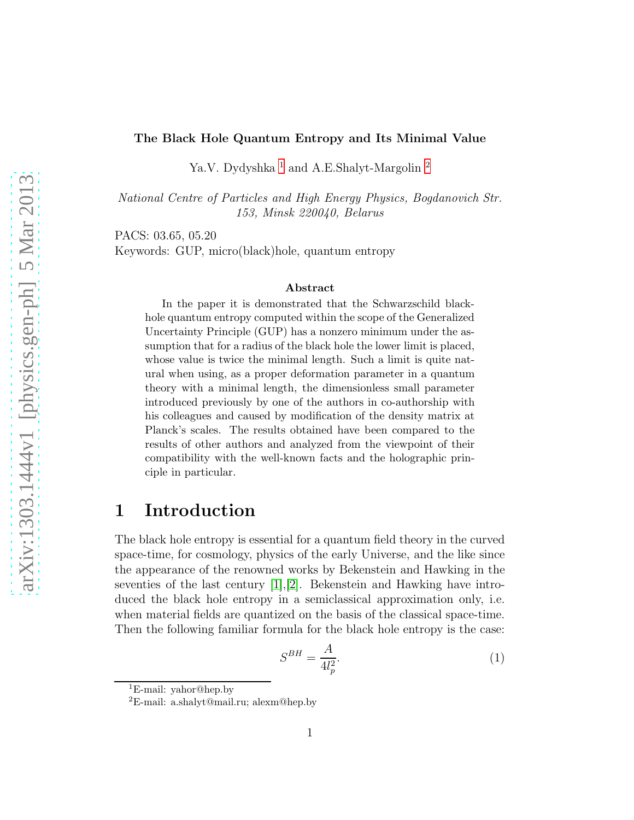### The Black Hole Quantum Entropy and Its Minimal Value

Ya.V. Dydyshka $^{\rm 1}$  $^{\rm 1}$  $^{\rm 1}$  and A.E.Shalyt-Margolin  $^{\rm 2}$  $^{\rm 2}$  $^{\rm 2}$ 

National Centre of Particles and High Energy Physics, Bogdanovich Str. 153, Minsk 220040, Belarus

PACS: 03.65, 05.20

Keywords: GUP, micro(black)hole, quantum entropy

#### Abstract

In the paper it is demonstrated that the Schwarzschild blackhole quantum entropy computed within the scope of the Generalized Uncertainty Principle (GUP) has a nonzero minimum under the assumption that for a radius of the black hole the lower limit is placed, whose value is twice the minimal length. Such a limit is quite natural when using, as a proper deformation parameter in a quantum theory with a minimal length, the dimensionless small parameter introduced previously by one of the authors in co-authorship with his colleagues and caused by modification of the density matrix at Planck's scales. The results obtained have been compared to the results of other authors and analyzed from the viewpoint of their compatibility with the well-known facts and the holographic principle in particular.

## 1 Introduction

The black hole entropy is essential for a quantum field theory in the curved space-time, for cosmology, physics of the early Universe, and the like since the appearance of the renowned works by Bekenstein and Hawking in the seventies of the last century [\[1\]](#page-7-0),[\[2\]](#page-7-1). Bekenstein and Hawking have introduced the black hole entropy in a semiclassical approximation only, i.e. when material fields are quantized on the basis of the classical space-time. Then the following familiar formula for the black hole entropy is the case:

<span id="page-0-2"></span>
$$
S^{BH} = \frac{A}{4l_p^2}.\tag{1}
$$

<sup>1</sup>E-mail: yahor@hep.by

<span id="page-0-1"></span><span id="page-0-0"></span><sup>&</sup>lt;sup>2</sup>E-mail: a.shalyt@mail.ru; alexm@hep.by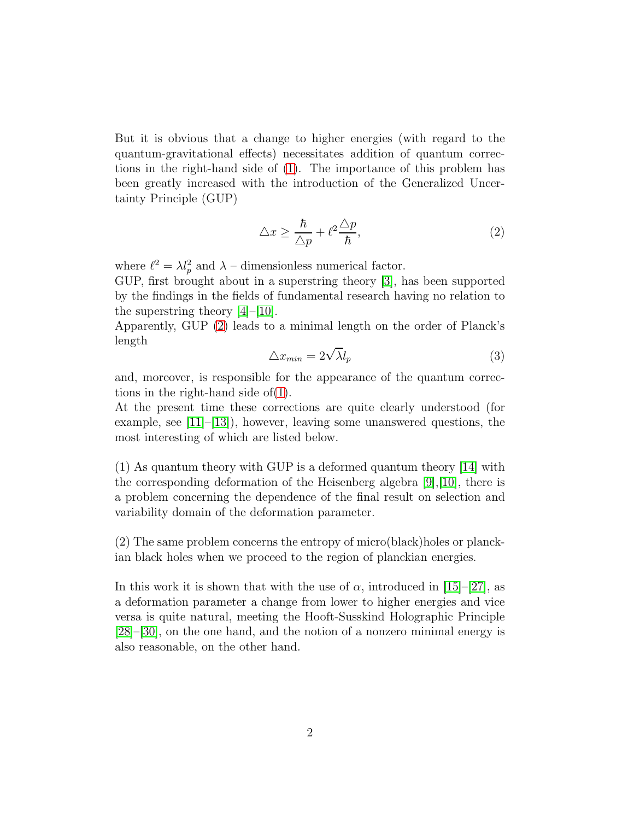But it is obvious that a change to higher energies (with regard to the quantum-gravitational effects) necessitates addition of quantum corrections in the right-hand side of [\(1\)](#page-0-2). The importance of this problem has been greatly increased with the introduction of the Generalized Uncertainty Principle (GUP)

<span id="page-1-0"></span>
$$
\Delta x \ge \frac{\hbar}{\Delta p} + \ell^2 \frac{\Delta p}{\hbar},\tag{2}
$$

where  $\ell^2 = \lambda l_p^2$  and  $\lambda$  – dimensionless numerical factor.

GUP, first brought about in a superstring theory [\[3\]](#page-7-2), has been supported by the findings in the fields of fundamental research having no relation to the superstring theory  $|4|$ – $|10|$ .

Apparently, GUP [\(2\)](#page-1-0) leads to a minimal length on the order of Planck's length

$$
\triangle x_{min} = 2\sqrt{\lambda}l_p \tag{3}
$$

and, moreover, is responsible for the appearance of the quantum corrections in the right-hand side of[\(1\)](#page-0-2).

At the present time these corrections are quite clearly understood (for example, see  $[11]$ – $[13]$ ), however, leaving some unanswered questions, the most interesting of which are listed below.

(1) As quantum theory with GUP is a deformed quantum theory [\[14\]](#page-8-3) with the corresponding deformation of the Heisenberg algebra  $[9]$ , [\[10\]](#page-8-0), there is a problem concerning the dependence of the final result on selection and variability domain of the deformation parameter.

(2) The same problem concerns the entropy of micro(black)holes or planckian black holes when we proceed to the region of planckian energies.

In this work it is shown that with the use of  $\alpha$ , introduced in [\[15\]](#page-8-4)–[\[27\]](#page-9-0), as a deformation parameter a change from lower to higher energies and vice versa is quite natural, meeting the Hooft-Susskind Holographic Principle [\[28\]](#page-9-1)–[\[30\]](#page-9-2), on the one hand, and the notion of a nonzero minimal energy is also reasonable, on the other hand.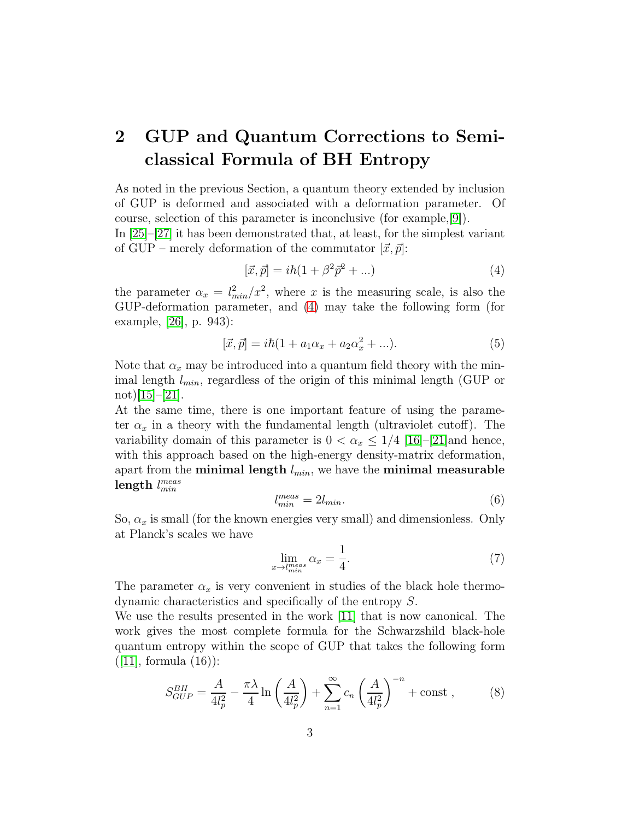# 2 GUP and Quantum Corrections to Semiclassical Formula of BH Entropy

As noted in the previous Section, a quantum theory extended by inclusion of GUP is deformed and associated with a deformation parameter. Of course, selection of this parameter is inconclusive (for example,[\[9\]](#page-7-4)).

In [\[25\]](#page-9-3)–[\[27\]](#page-9-0) it has been demonstrated that, at least, for the simplest variant of GUP – merely deformation of the commutator  $[\vec{x}, \vec{p}]$ :

<span id="page-2-0"></span>
$$
[\vec{x}, \vec{p}] = i\hbar (1 + \beta^2 \vec{p}^2 + \ldots)
$$
\n(4)

the parameter  $\alpha_x = l_{min}^2/x^2$ , where x is the measuring scale, is also the GUP-deformation parameter, and [\(4\)](#page-2-0) may take the following form (for example, [\[26\]](#page-9-4), p. 943):

$$
[\vec{x}, \vec{p}] = i\hbar (1 + a_1 \alpha_x + a_2 \alpha_x^2 + \ldots). \tag{5}
$$

Note that  $\alpha_x$  may be introduced into a quantum field theory with the minimal length  $l_{min}$ , regardless of the origin of this minimal length (GUP or  $\text{not})[15]-[21].$  $\text{not})[15]-[21].$  $\text{not})[15]-[21].$  $\text{not})[15]-[21].$  $\text{not})[15]-[21].$ 

At the same time, there is one important feature of using the parameter  $\alpha_x$  in a theory with the fundamental length (ultraviolet cutoff). The variability domain of this parameter is  $0 < \alpha_x \leq 1/4$  [\[16\]](#page-8-5)–[\[21\]](#page-9-5) and hence, with this approach based on the high-energy density-matrix deformation, apart from the minimal length  $l_{min}$ , we have the minimal measurable  ${\rm length}\,\, l_{min}^{meas}$ 

<span id="page-2-2"></span>
$$
l_{min}^{meas} = 2l_{min}.\tag{6}
$$

So,  $\alpha_x$  is small (for the known energies very small) and dimensionless. Only at Planck's scales we have

<span id="page-2-3"></span>
$$
\lim_{x \to l_{min}^{meas}} \alpha_x = \frac{1}{4}.\tag{7}
$$

The parameter  $\alpha_x$  is very convenient in studies of the black hole thermodynamic characteristics and specifically of the entropy S.

We use the results presented in the work [\[11\]](#page-8-1) that is now canonical. The work gives the most complete formula for the Schwarzshild black-hole quantum entropy within the scope of GUP that takes the following form  $([11],$  $([11],$  $([11],$  formula  $(16)$ :

<span id="page-2-1"></span>
$$
S_{GUP}^{BH} = \frac{A}{4l_p^2} - \frac{\pi \lambda}{4} \ln \left( \frac{A}{4l_p^2} \right) + \sum_{n=1}^{\infty} c_n \left( \frac{A}{4l_p^2} \right)^{-n} + \text{const} ,\qquad (8)
$$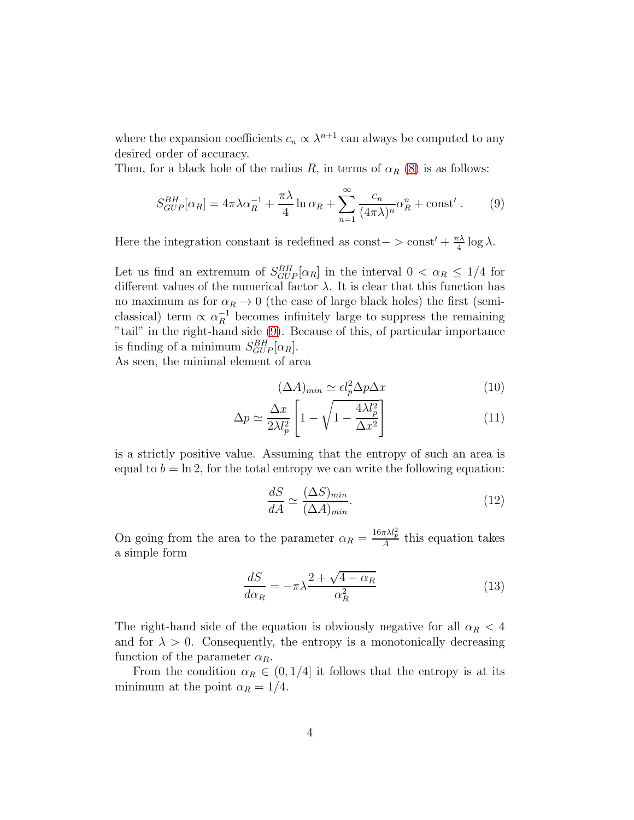where the expansion coefficients  $c_n \propto \lambda^{n+1}$  can always be computed to any desired order of accuracy.

Then, for a black hole of the radius R, in terms of  $\alpha_R$  [\(8\)](#page-2-1) is as follows:

<span id="page-3-0"></span>
$$
S_{GUP}^{BH}[\alpha_R] = 4\pi \lambda \alpha_R^{-1} + \frac{\pi \lambda}{4} \ln \alpha_R + \sum_{n=1}^{\infty} \frac{c_n}{(4\pi \lambda)^n} \alpha_R^n + \text{const}'.
$$
 (9)

Here the integration constant is redefined as const– > const' +  $\frac{\pi\lambda}{4}$  log  $\lambda$ .

Let us find an extremum of  $S_{GUP}^{BH}[\alpha_R]$  in the interval  $0 < \alpha_R \leq 1/4$  for different values of the numerical factor  $\lambda$ . It is clear that this function has no maximum as for  $\alpha_R \to 0$  (the case of large black holes) the first (semiclassical) term  $\propto \alpha_R^{-1}$  becomes infinitely large to suppress the remaining "tail" in the right-hand side [\(9\)](#page-3-0). Because of this, of particular importance is finding of a minimum  $S_{GUP}^{BH}[\alpha_R]$ .

As seen, the minimal element of area

$$
(\Delta A)_{min} \simeq \epsilon l_p^2 \Delta p \Delta x \tag{10}
$$

$$
\Delta p \simeq \frac{\Delta x}{2\lambda l_p^2} \left[ 1 - \sqrt{1 - \frac{4\lambda l_p^2}{\Delta x^2}} \right] \tag{11}
$$

is a strictly positive value. Assuming that the entropy of such an area is equal to  $b = \ln 2$ , for the total entropy we can write the following equation:

$$
\frac{dS}{dA} \simeq \frac{(\Delta S)_{min}}{(\Delta A)_{min}}.\tag{12}
$$

On going from the area to the parameter  $\alpha_R = \frac{16\pi\lambda l_p^2}{A}$  this equation takes a simple form

$$
\frac{dS}{d\alpha_R} = -\pi\lambda \frac{2 + \sqrt{4 - \alpha_R}}{\alpha_R^2} \tag{13}
$$

The right-hand side of the equation is obviously negative for all  $\alpha_R < 4$ and for  $\lambda > 0$ . Consequently, the entropy is a monotonically decreasing function of the parameter  $\alpha_R$ .

From the condition  $\alpha_R \in (0, 1/4]$  it follows that the entropy is at its minimum at the point  $\alpha_R = 1/4$ .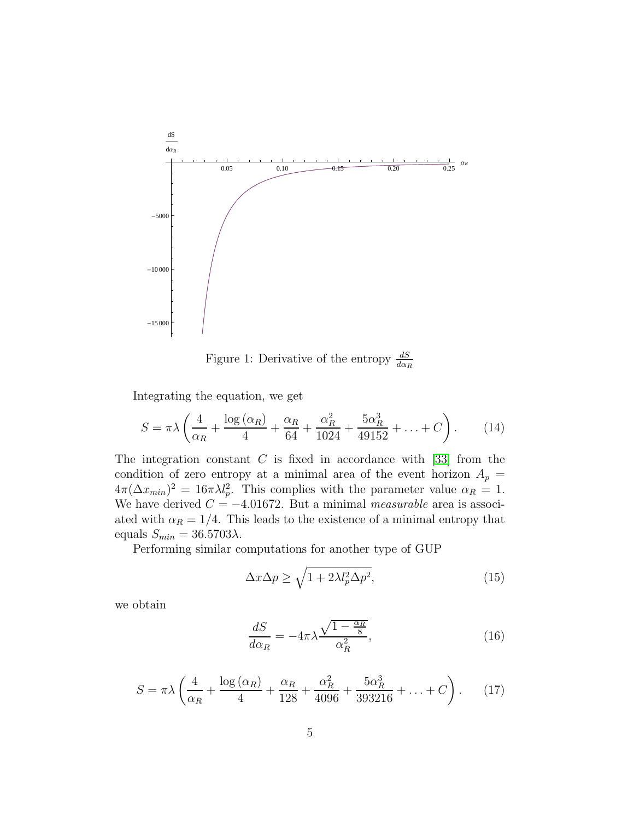

Figure 1: Derivative of the entropy  $\frac{dS}{d\alpha_R}$ 

Integrating the equation, we get

$$
S = \pi \lambda \left( \frac{4}{\alpha_R} + \frac{\log{(\alpha_R)}}{4} + \frac{\alpha_R}{64} + \frac{\alpha_R^2}{1024} + \frac{5\alpha_R^3}{49152} + \ldots + C \right). \tag{14}
$$

The integration constant  $C$  is fixed in accordance with [\[33\]](#page-10-0) from the condition of zero entropy at a minimal area of the event horizon  $A_p =$  $4\pi(\Delta x_{min})^2 = 16\pi\lambda l_p^2$ . This complies with the parameter value  $\alpha_R = 1$ . We have derived  $C = -4.01672$ . But a minimal measurable area is associ-ated with  $\alpha_R = 1/4$ . This leads to the existence of a minimal entropy that equals  $S_{min} = 36.5703\lambda$ .

Performing similar computations for another type of GUP

$$
\Delta x \Delta p \ge \sqrt{1 + 2\lambda l_p^2 \Delta p^2},\tag{15}
$$

we obtain

$$
\frac{dS}{d\alpha_R} = -4\pi\lambda \frac{\sqrt{1 - \frac{\alpha_R}{8}}}{\alpha_R^2},\tag{16}
$$

$$
S = \pi \lambda \left( \frac{4}{\alpha_R} + \frac{\log{(\alpha_R)}}{4} + \frac{\alpha_R}{128} + \frac{\alpha_R^2}{4096} + \frac{5\alpha_R^3}{393216} + \dots + C \right). \tag{17}
$$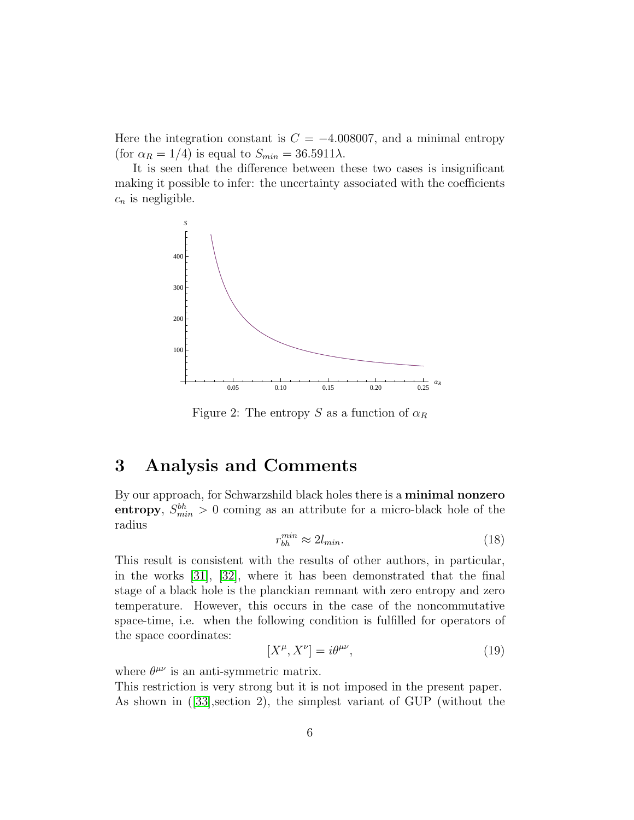Here the integration constant is  $C = -4.008007$ , and a minimal entropy (for  $\alpha_R = 1/4$ ) is equal to  $S_{min} = 36.5911\lambda$ .

It is seen that the difference between these two cases is insignificant making it possible to infer: the uncertainty associated with the coefficients  $c_n$  is negligible.



Figure 2: The entropy S as a function of  $\alpha_R$ 

### 3 Analysis and Comments

By our approach, for Schwarzshild black holes there is a minimal nonzero entropy,  $S_{min}^{bh} > 0$  coming as an attribute for a micro-black hole of the radius

<span id="page-5-1"></span>
$$
r_{bh}^{min} \approx 2l_{min}.\tag{18}
$$

This result is consistent with the results of other authors, in particular, in the works [\[31\]](#page-9-6), [\[32\]](#page-9-7), where it has been demonstrated that the final stage of a black hole is the planckian remnant with zero entropy and zero temperature. However, this occurs in the case of the noncommutative space-time, i.e. when the following condition is fulfilled for operators of the space coordinates:

<span id="page-5-0"></span>
$$
[X^{\mu}, X^{\nu}] = i\theta^{\mu\nu},\tag{19}
$$

where  $\theta^{\mu\nu}$  is an anti-symmetric matrix.

This restriction is very strong but it is not imposed in the present paper. As shown in ([\[33\]](#page-10-0),section 2), the simplest variant of GUP (without the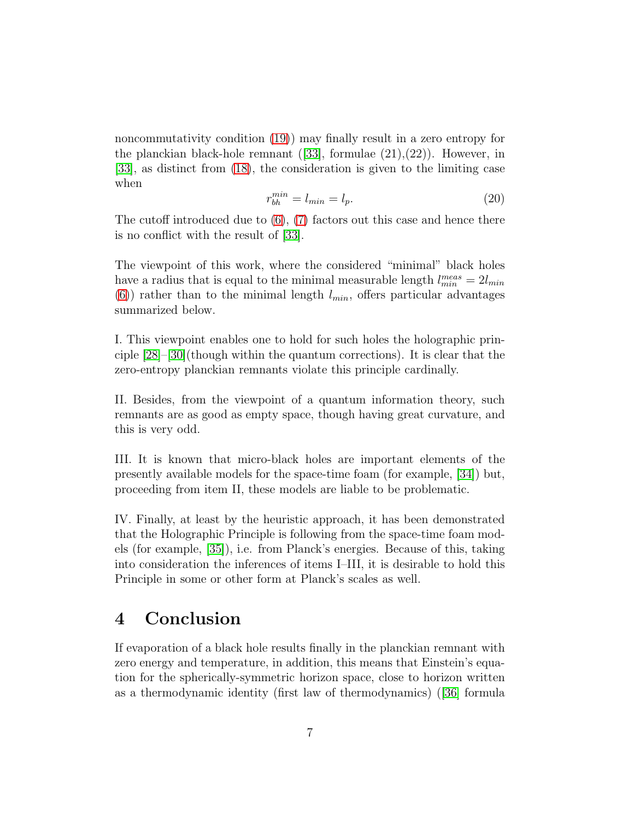noncommutativity condition [\(19\)](#page-5-0)) may finally result in a zero entropy for the planckian black-hole remnant  $([33],$  $([33],$  $([33],$  formulae  $(21),(22)$ ). However, in [\[33\]](#page-10-0), as distinct from [\(18\)](#page-5-1), the consideration is given to the limiting case when

$$
r_{bh}^{min} = l_{min} = l_p. \tag{20}
$$

The cutoff introduced due to  $(6)$ ,  $(7)$  factors out this case and hence there is no conflict with the result of [\[33\]](#page-10-0).

The viewpoint of this work, where the considered "minimal" black holes have a radius that is equal to the minimal measurable length  $l_{min}^{meas} = 2l_{min}$ [\(6\)](#page-2-2)) rather than to the minimal length  $l_{min}$ , offers particular advantages summarized below.

I. This viewpoint enables one to hold for such holes the holographic principle [\[28\]](#page-9-1)–[\[30\]](#page-9-2)(though within the quantum corrections). It is clear that the zero-entropy planckian remnants violate this principle cardinally.

II. Besides, from the viewpoint of a quantum information theory, such remnants are as good as empty space, though having great curvature, and this is very odd.

III. It is known that micro-black holes are important elements of the presently available models for the space-time foam (for example, [\[34\]](#page-10-1)) but, proceeding from item II, these models are liable to be problematic.

IV. Finally, at least by the heuristic approach, it has been demonstrated that the Holographic Principle is following from the space-time foam models (for example, [\[35\]](#page-10-2)), i.e. from Planck's energies. Because of this, taking into consideration the inferences of items I–III, it is desirable to hold this Principle in some or other form at Planck's scales as well.

## 4 Conclusion

If evaporation of a black hole results finally in the planckian remnant with zero energy and temperature, in addition, this means that Einstein's equation for the spherically-symmetric horizon space, close to horizon written as a thermodynamic identity (first law of thermodynamics) ([\[36\]](#page-10-3) formula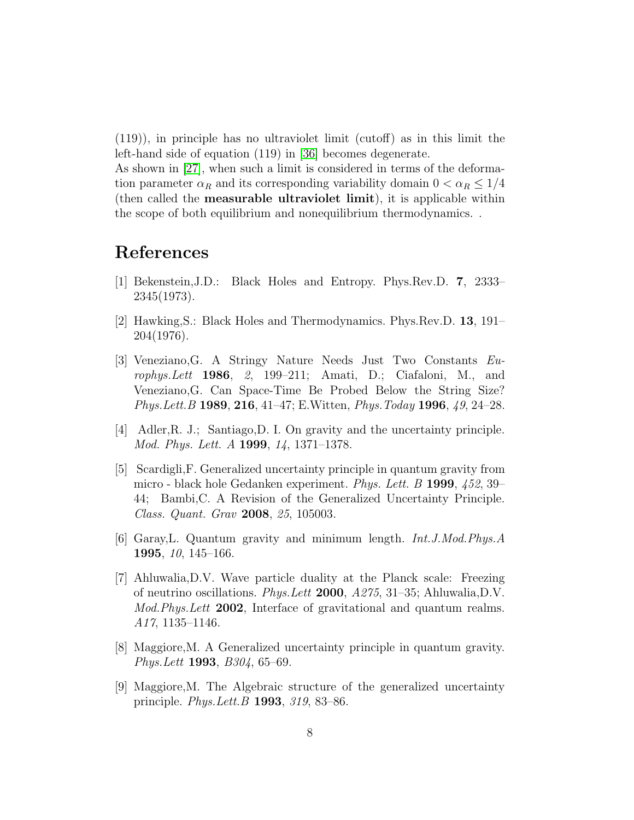(119)), in principle has no ultraviolet limit (cutoff) as in this limit the left-hand side of equation (119) in [\[36\]](#page-10-3) becomes degenerate.

As shown in [\[27\]](#page-9-0), when such a limit is considered in terms of the deformation parameter  $\alpha_R$  and its corresponding variability domain  $0 < \alpha_R \leq 1/4$ (then called the measurable ultraviolet limit), it is applicable within the scope of both equilibrium and nonequilibrium thermodynamics. .

## <span id="page-7-0"></span>References

- <span id="page-7-1"></span>[1] Bekenstein,J.D.: Black Holes and Entropy. Phys.Rev.D. 7, 2333– 2345(1973).
- <span id="page-7-2"></span>[2] Hawking,S.: Black Holes and Thermodynamics. Phys.Rev.D. 13, 191– 204(1976).
- [3] Veneziano,G. A Stringy Nature Needs Just Two Constants Europhys.Lett 1986, 2, 199–211; Amati, D.; Ciafaloni, M., and Veneziano,G. Can Space-Time Be Probed Below the String Size? Phys. Lett. B 1989, 216, 41–47; E. Witten, *Phys. Today* 1996, 49, 24–28.
- <span id="page-7-3"></span>[4] Adler,R. J.; Santiago,D. I. On gravity and the uncertainty principle. Mod. Phys. Lett. A 1999, 14, 1371–1378.
- [5] Scardigli,F. Generalized uncertainty principle in quantum gravity from micro - black hole Gedanken experiment. Phys. Lett. B 1999, 452, 39– 44; Bambi,C. A Revision of the Generalized Uncertainty Principle. Class. Quant. Grav 2008, 25, 105003.
- [6] Garay,L. Quantum gravity and minimum length. Int.J.Mod.Phys.A 1995, 10, 145–166.
- [7] Ahluwalia,D.V. Wave particle duality at the Planck scale: Freezing of neutrino oscillations. Phys.Lett 2000, A275, 31–35; Ahluwalia,D.V. Mod.Phys.Lett 2002, Interface of gravitational and quantum realms. A17, 1135–1146.
- <span id="page-7-4"></span>[8] Maggiore,M. A Generalized uncertainty principle in quantum gravity. Phys.Lett 1993, B304, 65–69.
- [9] Maggiore,M. The Algebraic structure of the generalized uncertainty principle. Phys.Lett.B 1993, 319, 83–86.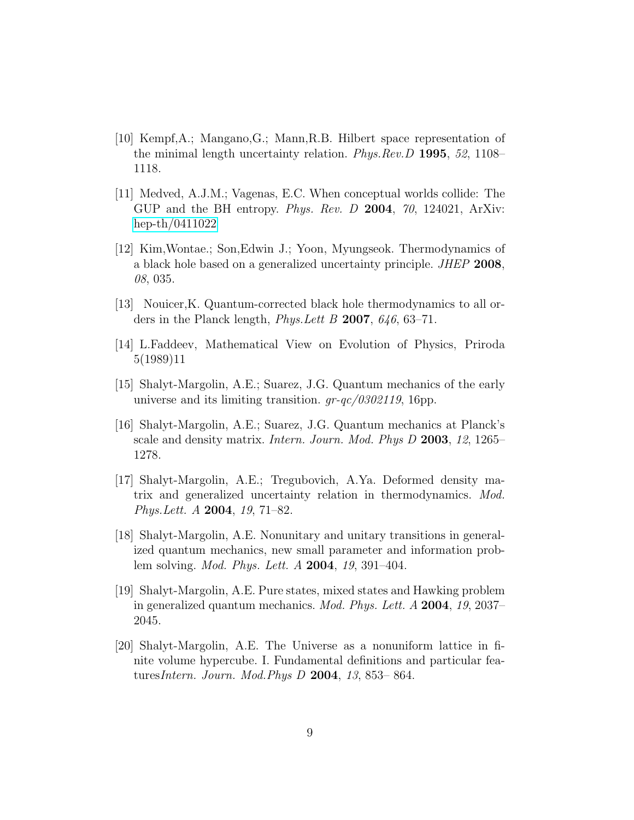- <span id="page-8-0"></span>[10] Kempf,A.; Mangano,G.; Mann,R.B. Hilbert space representation of the minimal length uncertainty relation. Phys.Rev.D 1995, 52, 1108– 1118.
- <span id="page-8-1"></span>[11] Medved, A.J.M.; Vagenas, E.C. When conceptual worlds collide: The GUP and the BH entropy. *Phys. Rev. D* 2004, 70, 124021, ArXiv: [hep-th/0411022](http://arxiv.org/abs/hep-th/0411022)
- [12] Kim,Wontae.; Son,Edwin J.; Yoon, Myungseok. Thermodynamics of a black hole based on a generalized uncertainty principle. JHEP 2008, 08, 035.
- <span id="page-8-3"></span><span id="page-8-2"></span>[13] Nouicer,K. Quantum-corrected black hole thermodynamics to all orders in the Planck length, *Phys. Lett B* 2007,  $646$ , 63-71.
- <span id="page-8-4"></span>[14] L.Faddeev, Mathematical View on Evolution of Physics, Priroda 5(1989)11
- [15] Shalyt-Margolin, A.E.; Suarez, J.G. Quantum mechanics of the early universe and its limiting transition.  $gr-qc/0302119$ , 16pp.
- <span id="page-8-5"></span>[16] Shalyt-Margolin, A.E.; Suarez, J.G. Quantum mechanics at Planck's scale and density matrix. Intern. Journ. Mod. Phys D 2003, 12, 1265– 1278.
- [17] Shalyt-Margolin, A.E.; Tregubovich, A.Ya. Deformed density matrix and generalized uncertainty relation in thermodynamics. Mod. Phys.Lett. A 2004, 19, 71–82.
- [18] Shalyt-Margolin, A.E. Nonunitary and unitary transitions in generalized quantum mechanics, new small parameter and information problem solving. Mod. Phys. Lett. A 2004, 19, 391–404.
- [19] Shalyt-Margolin, A.E. Pure states, mixed states and Hawking problem in generalized quantum mechanics. Mod. Phys. Lett. A 2004, 19, 2037– 2045.
- [20] Shalyt-Margolin, A.E. The Universe as a nonuniform lattice in finite volume hypercube. I. Fundamental definitions and particular featuresIntern. Journ. Mod.Phys D 2004, 13, 853– 864.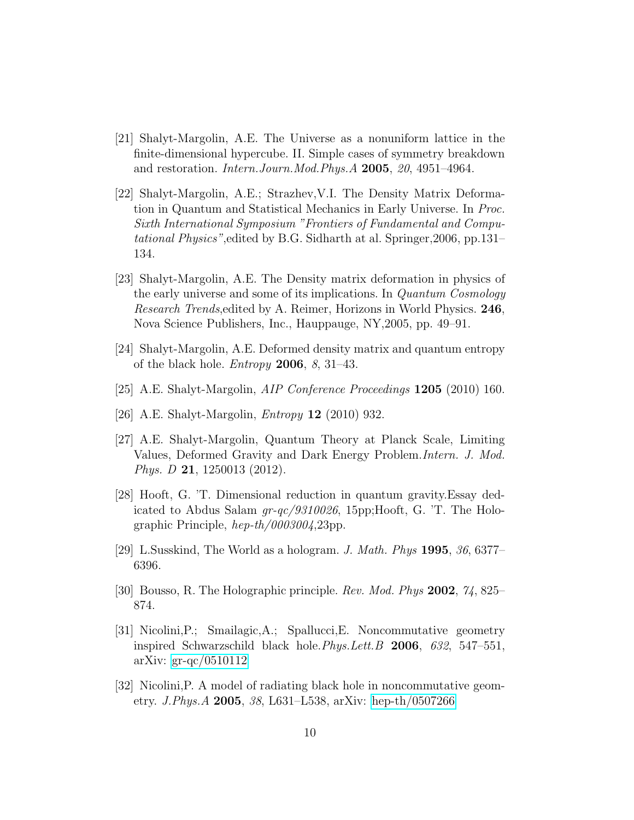- <span id="page-9-5"></span>[21] Shalyt-Margolin, A.E. The Universe as a nonuniform lattice in the finite-dimensional hypercube. II. Simple cases of symmetry breakdown and restoration. Intern.Journ.Mod.Phys.A 2005, 20, 4951–4964.
- [22] Shalyt-Margolin, A.E.; Strazhev,V.I. The Density Matrix Deformation in Quantum and Statistical Mechanics in Early Universe. In Proc. Sixth International Symposium "Frontiers of Fundamental and Computational Physics",edited by B.G. Sidharth at al. Springer,2006, pp.131– 134.
- [23] Shalyt-Margolin, A.E. The Density matrix deformation in physics of the early universe and some of its implications. In Quantum Cosmology Research Trends,edited by A. Reimer, Horizons in World Physics. 246, Nova Science Publishers, Inc., Hauppauge, NY,2005, pp. 49–91.
- <span id="page-9-3"></span>[24] Shalyt-Margolin, A.E. Deformed density matrix and quantum entropy of the black hole. *Entropy* **2006**, 8, 31–43.
- <span id="page-9-4"></span>[25] A.E. Shalyt-Margolin, *AIP Conference Proceedings* **1205** (2010) 160.
- <span id="page-9-0"></span>[26] A.E. Shalyt-Margolin, *Entropy* **12** (2010) 932.
- [27] A.E. Shalyt-Margolin, Quantum Theory at Planck Scale, Limiting Values, Deformed Gravity and Dark Energy Problem.Intern. J. Mod. Phys. D 21, 1250013 (2012).
- <span id="page-9-1"></span>[28] Hooft, G. 'T. Dimensional reduction in quantum gravity.Essay dedicated to Abdus Salam gr-qc/9310026, 15pp;Hooft, G. 'T. The Holographic Principle, hep-th/0003004,23pp.
- <span id="page-9-2"></span>[29] L.Susskind, The World as a hologram. J. Math. Phys **1995**,  $36,6377-$ 6396.
- <span id="page-9-6"></span>[30] Bousso, R. The Holographic principle. Rev. Mod. Phys 2002, 74, 825– 874.
- [31] Nicolini,P.; Smailagic,A.; Spallucci,E. Noncommutative geometry inspired Schwarzschild black hole.Phys.Lett.B 2006, 632, 547–551, arXiv: [gr-qc/0510112](http://arxiv.org/abs/gr-qc/0510112)
- <span id="page-9-7"></span>[32] Nicolini,P. A model of radiating black hole in noncommutative geometry. J.Phys.A 2005, 38, L631–L538, arXiv: [hep-th/0507266](http://arxiv.org/abs/hep-th/0507266)